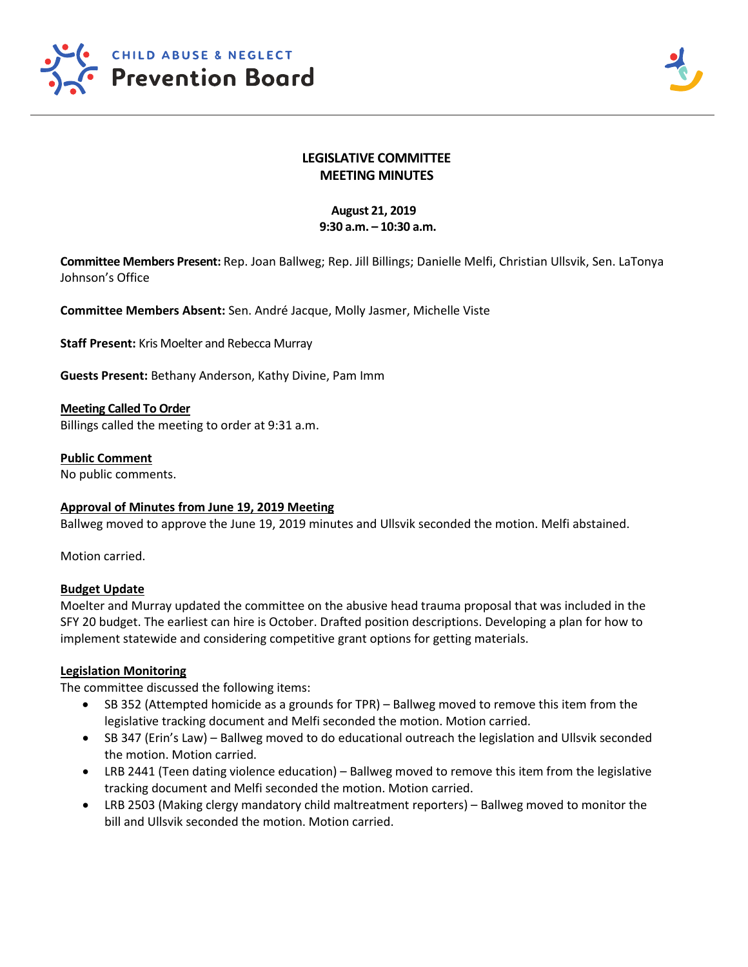



# **LEGISLATIVE COMMITTEE MEETING MINUTES**

# **August 21, 2019 9:30 a.m. – 10:30 a.m.**

**Committee Members Present:** Rep. Joan Ballweg; Rep. Jill Billings; Danielle Melfi, Christian Ullsvik, Sen. LaTonya Johnson's Office

**Committee Members Absent:** Sen. André Jacque, Molly Jasmer, Michelle Viste

**Staff Present:** Kris Moelter and Rebecca Murray

**Guests Present:** Bethany Anderson, Kathy Divine, Pam Imm

**Meeting Called To Order** Billings called the meeting to order at 9:31 a.m.

**Public Comment** No public comments.

**Approval of Minutes from June 19, 2019 Meeting** Ballweg moved to approve the June 19, 2019 minutes and Ullsvik seconded the motion. Melfi abstained.

Motion carried.

## **Budget Update**

Moelter and Murray updated the committee on the abusive head trauma proposal that was included in the SFY 20 budget. The earliest can hire is October. Drafted position descriptions. Developing a plan for how to implement statewide and considering competitive grant options for getting materials.

## **Legislation Monitoring**

The committee discussed the following items:

- SB 352 (Attempted homicide as a grounds for TPR) Ballweg moved to remove this item from the legislative tracking document and Melfi seconded the motion. Motion carried.
- SB 347 (Erin's Law) Ballweg moved to do educational outreach the legislation and Ullsvik seconded the motion. Motion carried.
- LRB 2441 (Teen dating violence education) Ballweg moved to remove this item from the legislative tracking document and Melfi seconded the motion. Motion carried.
- LRB 2503 (Making clergy mandatory child maltreatment reporters) Ballweg moved to monitor the bill and Ullsvik seconded the motion. Motion carried.